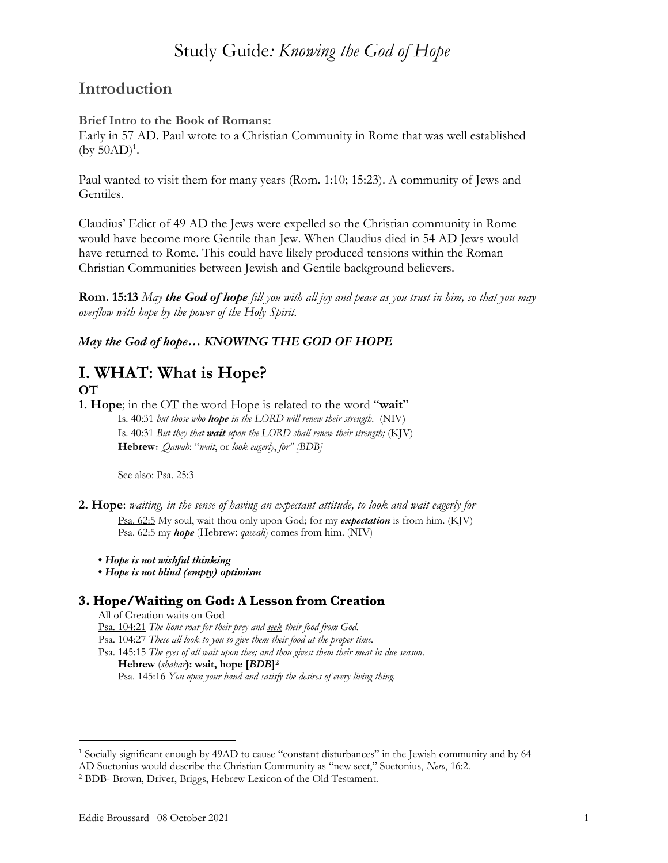# **Introduction**

## **Brief Intro to the Book of Romans:**

Early in 57 AD. Paul wrote to a Christian Community in Rome that was well established  $(by 50AD)^1$ .

Paul wanted to visit them for many years (Rom. 1:10; 15:23). A community of Jews and Gentiles.

Claudius' Edict of 49 AD the Jews were expelled so the Christian community in Rome would have become more Gentile than Jew. When Claudius died in 54 AD Jews would have returned to Rome. This could have likely produced tensions within the Roman Christian Communities between Jewish and Gentile background believers.

**Rom. 15:13** *May the God of hope fill you with all joy and peace as you trust in him, so that you may overflow with hope by the power of the Holy Spirit.*

# *May the God of hope… KNOWING THE GOD OF HOPE*

# **I. WHAT: What is Hope?**

## **OT**

**1. Hope**; in the OT the word Hope is related to the word "**wait**" Is. 40:31 *but those who hope in the LORD will renew their strength.* (NIV) Is. 40:31 *But they that wait upon the LORD shall renew their strength;* (KJV) **Hebrew**: *Qawah*: "*wait*, or *look eagerly*, *for" [BDB]*

See also: Psa. 25:3

- **2. Hope**: *waiting, in the sense of having an expectant attitude, to look and wait eagerly for*  Psa. 62:5 My soul, wait thou only upon God; for my *expectation* is from him. (KJV) Psa. 62:5 my *hope* (Hebrew: *qawah*) comes from him. (NIV)
	- *Hope is not wishful thinking*
	- *Hope is not blind (empty) optimism*

## **3. Hope/Waiting on God: A Lesson from Creation**

All of Creation waits on God Psa. 104:21 *The lions roar for their prey and seek their food from God.* Psa. 104:27 *These all look to you to give them their food at the proper time.*  Psa. 145:15 *The eyes of all wait upon thee; and thou givest them their meat in due season*. **Hebrew** (*shabar***): wait, hope [***BDB***]2** Psa. 145:16 *You open your hand and satisfy the desires of every living thing.*

<sup>1</sup> Socially significant enough by 49AD to cause "constant disturbances" in the Jewish community and by 64 AD Suetonius would describe the Christian Community as "new sect," Suetonius, *Nero*, 16:2.

<sup>2</sup> BDB- Brown, Driver, Briggs, Hebrew Lexicon of the Old Testament.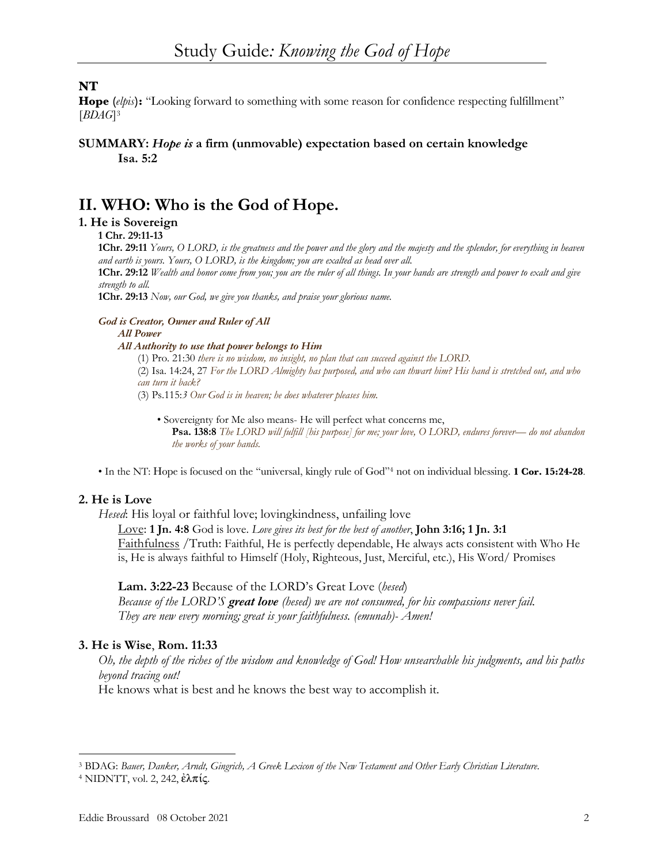## **NT**

**Hope (***elpis***):** "Looking forward to something with some reason for confidence respecting fulfillment" [*BDAG*]3

### **SUMMARY:** *Hope is* **a firm (unmovable) expectation based on certain knowledge Isa. 5:2**

# **II. WHO: Who is the God of Hope.**

## **1. He is Sovereign**

**1 Chr. 29:11-13**

**1Chr. 29:11** *Yours, O LORD, is the greatness and the power and the glory and the majesty and the splendor, for everything in heaven and earth is yours. Yours, O LORD, is the kingdom; you are exalted as head over all.* 

**1Chr. 29:12** *Wealth and honor come from you; you are the ruler of all things. In your hands are strength and power to exalt and give strength to all.*

**1Chr. 29:13** *Now, our God, we give you thanks, and praise your glorious name.*

#### *God is Creator, Owner and Ruler of All*

*All Power*

#### *All Authority to use that power belongs to Him*

(1) Pro. 21:30 *there is no wisdom, no insight, no plan that can succeed against the LORD.* (2) Isa. 14:24, 27 *For the LORD Almighty has purposed, and who can thwart him? His hand is stretched out, and who can turn it back?*

(3) Ps.115:*3 Our God is in heaven; he does whatever pleases him.*

• Sovereignty for Me also means- He will perfect what concerns me, **Psa. 138:8** *The LORD will fulfill [his purpose] for me; your love, O LORD, endures forever— do not abandon the works of your hands.*

• In the NT: Hope is focused on the "universal, kingly rule of God"4 not on individual blessing. **1 Cor. 15:24-28**.

### **2. He is Love**

*Hesed*: His loyal or faithful love; lovingkindness, unfailing love

Love: **1 Jn. 4:8** God is love. *Love gives its best for the best of another*, **John 3:16; 1 Jn. 3:1** Faithfulness /Truth: Faithful, He is perfectly dependable, He always acts consistent with Who He is, He is always faithful to Himself (Holy, Righteous, Just, Merciful, etc.), His Word/ Promises

#### **Lam. 3:22-23** Because of the LORD's Great Love (*hesed*)

*Because of the LORD'S great love (hesed) we are not consumed, for his compassions never fail. They are new every morning; great is your faithfulness. (emunah)- Amen!*

#### **3. He is Wise**, **Rom. 11:33**

*Oh, the depth of the riches of the wisdom and knowledge of God! How unsearchable his judgments, and his paths beyond tracing out!*

He knows what is best and he knows the best way to accomplish it.

<sup>3</sup> BDAG: *Bauer, Danker, Arndt, Gingrich, A Greek Lexicon of the New Testament and Other Early Christian Literature*.

<sup>&</sup>lt;sup>4</sup> NIDNTT, vol. 2, 242,  $\dot{\epsilon} \lambda \pi i \zeta$ .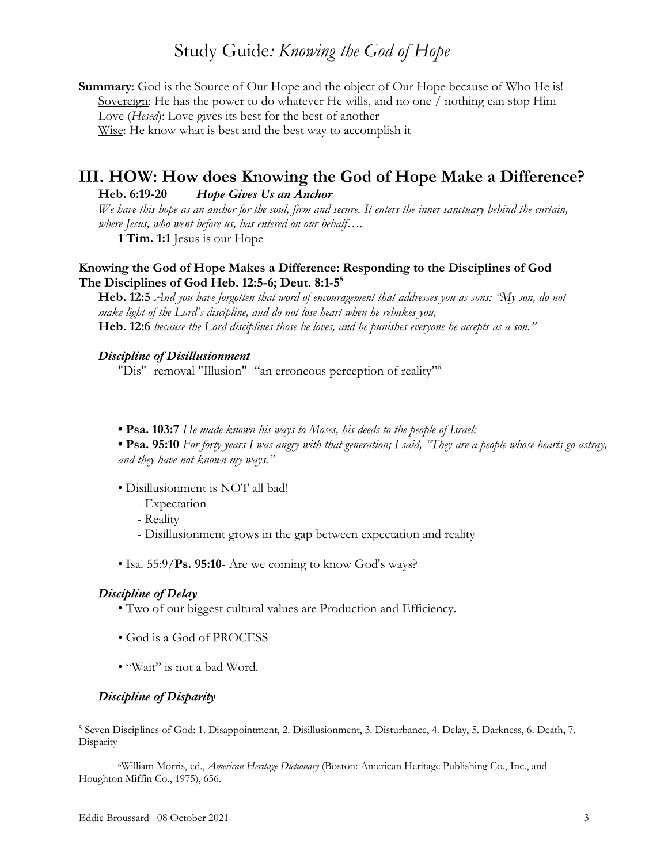**Summary**: God is the Source of Our Hope and the object of Our Hope because of Who He is! Sovereign: He has the power to do whatever He wills, and no one / nothing can stop Him Love (*Hesed*): Love gives its best for the best of another Wise: He know what is best and the best way to accomplish it

# **III. HOW: How does Knowing the God of Hope Make a Difference?**

**Heb. 6:19-20** *Hope Gives Us an Anchor*

*We have this hope as an anchor for the soul, firm and secure. It enters the inner sanctuary behind the curtain, where Jesus, who went before us, has entered on our behalf….*

**1 Tim. 1:1** Jesus is our Hope

## **Knowing the God of Hope Makes a Difference: Responding to the Disciplines of God The Disciplines of God Heb. 12:5-6; Deut. 8:1-55**

**Heb. 12:5** *And you have forgotten that word of encouragement that addresses you as sons: "My son, do not make light of the Lord's discipline, and do not lose heart when he rebukes you,* **Heb. 12:6** *because the Lord disciplines those he loves, and he punishes everyone he accepts as a son."*

### *Discipline of Disillusionment*

"Dis"- removal "Illusion"- "an erroneous perception of reality"<sup>6</sup>

**• Psa. 103:7** *He made known his ways to Moses, his deeds to the people of Israel:*

**• Psa. 95:10** *For forty years I was angry with that generation; I said, "They are a people whose hearts go astray, and they have not known my ways."*

- Disillusionment is NOT all bad!
	- Expectation
	- Reality
	- Disillusionment grows in the gap between expectation and reality
- Isa. 55:9/**Ps. 95:10** Are we coming to know God's ways?

### *Discipline of Delay*

- Two of our biggest cultural values are Production and Efficiency.
- God is a God of PROCESS
- "Wait" is not a bad Word.

## *Discipline of Disparity*

<sup>5</sup> Seven Disciplines of God: 1. Disappointment, 2. Disillusionment, 3. Disturbance, 4. Delay, 5. Darkness, 6. Death, 7. **Disparity** 

6William Morris, ed., *American Heritage Dictionary* (Boston: American Heritage Publishing Co., Inc., and Houghton Miffin Co., 1975), 656.